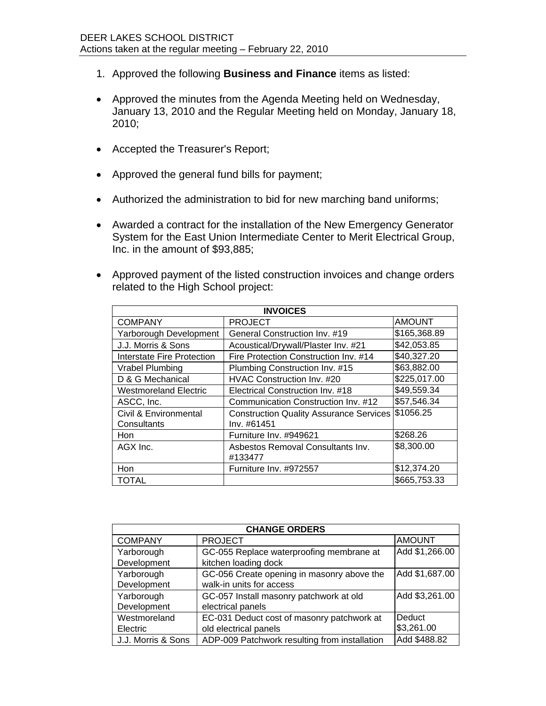- 1. Approved the following **Business and Finance** items as listed:
- Approved the minutes from the Agenda Meeting held on Wednesday, January 13, 2010 and the Regular Meeting held on Monday, January 18, 2010;
- Accepted the Treasurer's Report;
- Approved the general fund bills for payment;
- Authorized the administration to bid for new marching band uniforms;
- Awarded a contract for the installation of the New Emergency Generator System for the East Union Intermediate Center to Merit Electrical Group, Inc. in the amount of \$93,885;
- Approved payment of the listed construction invoices and change orders related to the High School project:

| <b>INVOICES</b>                  |                                                |               |  |
|----------------------------------|------------------------------------------------|---------------|--|
| <b>COMPANY</b>                   | <b>PROJECT</b>                                 | <b>AMOUNT</b> |  |
| Yarborough Development           | General Construction Inv. #19                  | \$165,368.89  |  |
| J.J. Morris & Sons               | Acoustical/Drywall/Plaster Inv. #21            | \$42,053.85   |  |
| Interstate Fire Protection       | Fire Protection Construction Inv. #14          | \$40,327.20   |  |
| Vrabel Plumbing                  | Plumbing Construction Inv. #15                 | \$63,882.00   |  |
| D & G Mechanical                 | HVAC Construction Inv. #20                     | \$225,017.00  |  |
| <b>Westmoreland Electric</b>     | Electrical Construction Inv. #18               | \$49,559.34   |  |
| ASCC, Inc.                       | Communication Construction Inv. #12            | \$57,546.34   |  |
| <b>Civil &amp; Environmental</b> | <b>Construction Quality Assurance Services</b> | \$1056.25     |  |
| Consultants                      | Inv. #61451                                    |               |  |
| <b>Hon</b>                       | Furniture Inv. #949621                         | \$268.26      |  |
| AGX Inc.                         | Asbestos Removal Consultants Inv.              | \$8,300.00    |  |
|                                  | #133477                                        |               |  |
| <b>Hon</b>                       | Furniture Inv. #972557                         | \$12,374.20   |  |
| <b>TOTAL</b>                     |                                                | \$665,753.33  |  |

| <b>CHANGE ORDERS</b> |                                               |                |  |
|----------------------|-----------------------------------------------|----------------|--|
| <b>COMPANY</b>       | <b>PROJECT</b>                                | <b>AMOUNT</b>  |  |
| Yarborough           | GC-055 Replace waterproofing membrane at      | Add \$1,266.00 |  |
| Development          | kitchen loading dock                          |                |  |
| Yarborough           | GC-056 Create opening in masonry above the    | Add \$1,687.00 |  |
| Development          | walk-in units for access                      |                |  |
| Yarborough           | GC-057 Install masonry patchwork at old       | Add \$3,261.00 |  |
| Development          | electrical panels                             |                |  |
| Westmoreland         | EC-031 Deduct cost of masonry patchwork at    | Deduct         |  |
| Electric             | old electrical panels                         | \$3,261.00     |  |
| J.J. Morris & Sons   | ADP-009 Patchwork resulting from installation | Add \$488.82   |  |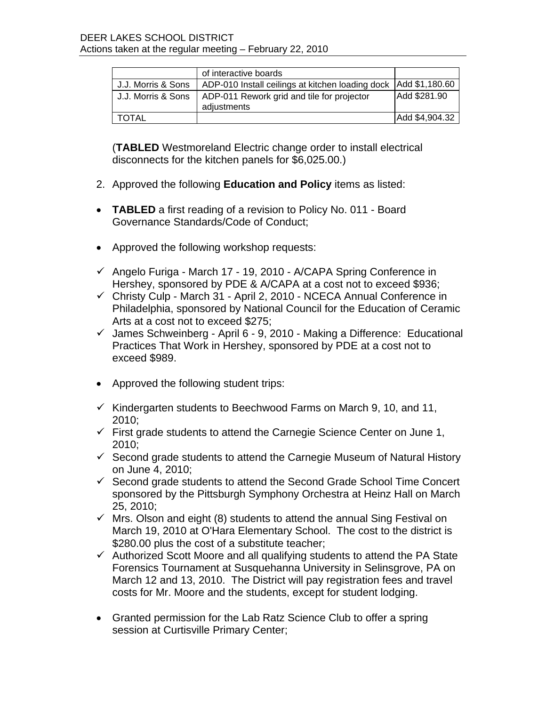|                    | of interactive boards                                             |                |
|--------------------|-------------------------------------------------------------------|----------------|
| J.J. Morris & Sons | ADP-010 Install ceilings at kitchen loading dock   Add \$1,180.60 |                |
| J.J. Morris & Sons | ADP-011 Rework grid and tile for projector                        | Add \$281.90   |
|                    | adjustments                                                       |                |
| TOTAL              |                                                                   | Add \$4,904.32 |

(**TABLED** Westmoreland Electric change order to install electrical disconnects for the kitchen panels for \$6,025.00.)

- 2. Approved the following **Education and Policy** items as listed:
- **TABLED** a first reading of a revision to Policy No. 011 Board Governance Standards/Code of Conduct;
- Approved the following workshop requests:
- Angelo Furiga March 17 19, 2010 A/CAPA Spring Conference in Hershey, sponsored by PDE & A/CAPA at a cost not to exceed \$936;
- Christy Culp March 31 April 2, 2010 NCECA Annual Conference in Philadelphia, sponsored by National Council for the Education of Ceramic Arts at a cost not to exceed \$275;
- $\checkmark$  James Schweinberg April 6 9, 2010 Making a Difference: Educational Practices That Work in Hershey, sponsored by PDE at a cost not to exceed \$989.
- Approved the following student trips:
- $\checkmark$  Kindergarten students to Beechwood Farms on March 9, 10, and 11, 2010;
- $\checkmark$  First grade students to attend the Carnegie Science Center on June 1, 2010;
- $\checkmark$  Second grade students to attend the Carnegie Museum of Natural History on June 4, 2010;
- $\checkmark$  Second grade students to attend the Second Grade School Time Concert sponsored by the Pittsburgh Symphony Orchestra at Heinz Hall on March 25, 2010;
- $\checkmark$  Mrs. Olson and eight (8) students to attend the annual Sing Festival on March 19, 2010 at O'Hara Elementary School. The cost to the district is \$280.00 plus the cost of a substitute teacher;
- $\checkmark$  Authorized Scott Moore and all qualifying students to attend the PA State Forensics Tournament at Susquehanna University in Selinsgrove, PA on March 12 and 13, 2010. The District will pay registration fees and travel costs for Mr. Moore and the students, except for student lodging.
- Granted permission for the Lab Ratz Science Club to offer a spring session at Curtisville Primary Center;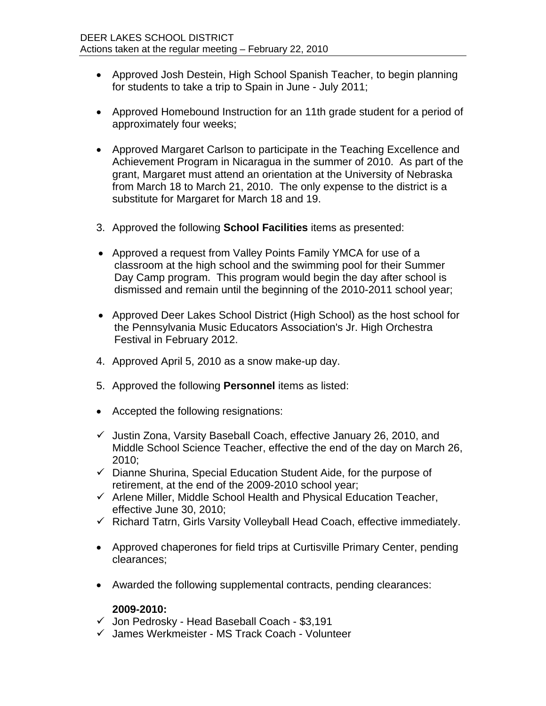- Approved Josh Destein, High School Spanish Teacher, to begin planning for students to take a trip to Spain in June - July 2011;
- Approved Homebound Instruction for an 11th grade student for a period of approximately four weeks;
- Approved Margaret Carlson to participate in the Teaching Excellence and Achievement Program in Nicaragua in the summer of 2010. As part of the grant, Margaret must attend an orientation at the University of Nebraska from March 18 to March 21, 2010. The only expense to the district is a substitute for Margaret for March 18 and 19.
- 3. Approved the following **School Facilities** items as presented:
- Approved a request from Valley Points Family YMCA for use of a classroom at the high school and the swimming pool for their Summer Day Camp program. This program would begin the day after school is dismissed and remain until the beginning of the 2010-2011 school year;
- Approved Deer Lakes School District (High School) as the host school for the Pennsylvania Music Educators Association's Jr. High Orchestra Festival in February 2012.
- 4. Approved April 5, 2010 as a snow make-up day.
- 5. Approved the following **Personnel** items as listed:
- Accepted the following resignations:
- $\checkmark$  Justin Zona, Varsity Baseball Coach, effective January 26, 2010, and Middle School Science Teacher, effective the end of the day on March 26, 2010;
- $\checkmark$  Dianne Shurina, Special Education Student Aide, for the purpose of retirement, at the end of the 2009-2010 school year;
- $\checkmark$  Arlene Miller, Middle School Health and Physical Education Teacher, effective June 30, 2010;
- $\checkmark$  Richard Tatrn, Girls Varsity Volleyball Head Coach, effective immediately.
- Approved chaperones for field trips at Curtisville Primary Center, pending clearances;
- Awarded the following supplemental contracts, pending clearances:

## **2009-2010:**

- $\checkmark$  Jon Pedrosky Head Baseball Coach \$3,191
- James Werkmeister MS Track Coach Volunteer